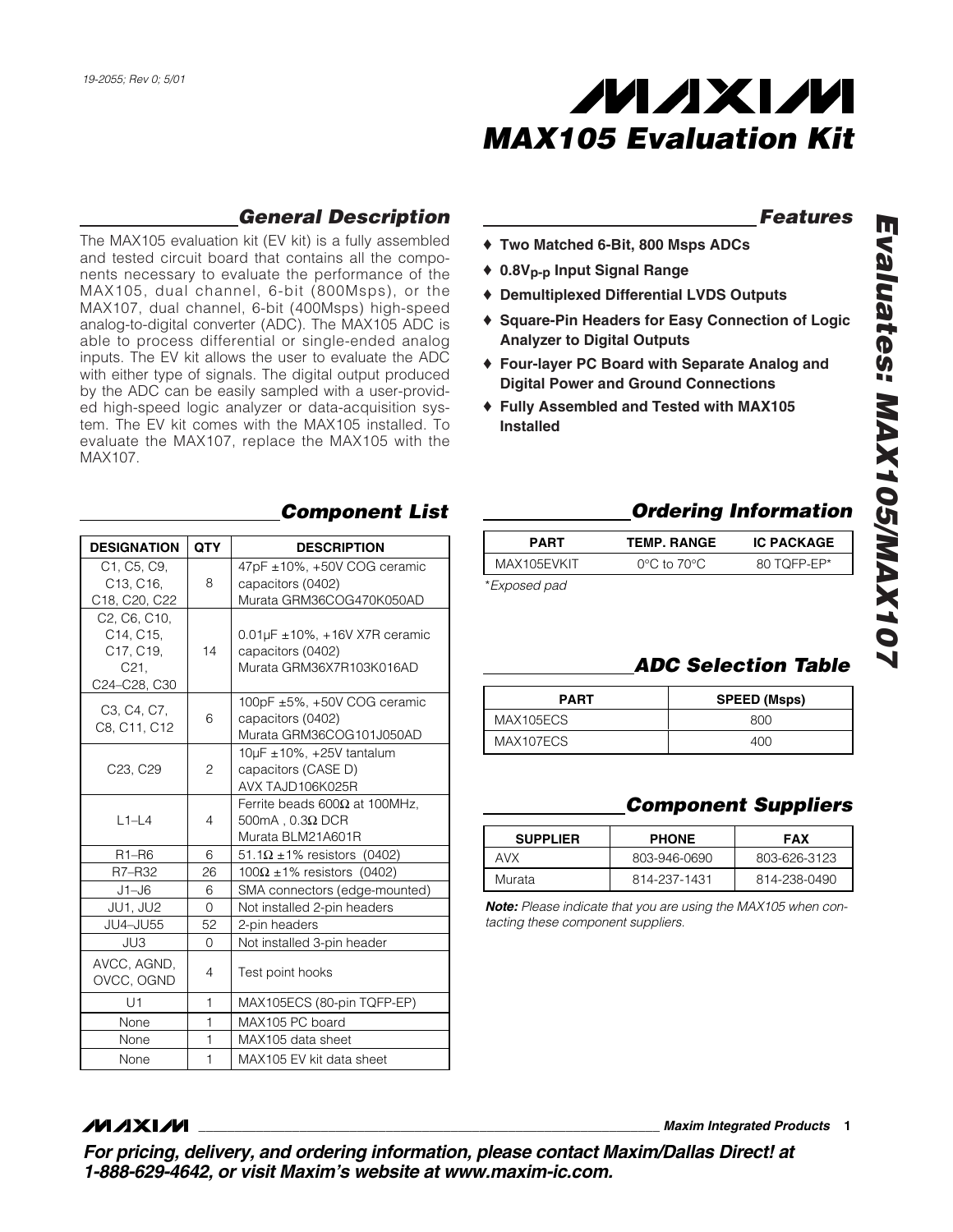

### *Features*

- ♦ **Two Matched 6-Bit, 800 Msps ADCs**
- ♦ **0.8Vp-p Input Signal Range**
- ♦ **Demultiplexed Differential LVDS Outputs**
- ♦ **Square-Pin Headers for Easy Connection of Logic Analyzer to Digital Outputs**
- ♦ **Four-layer PC Board with Separate Analog and Digital Power and Ground Connections**
- ♦ **Fully Assembled and Tested with MAX105 Installed**
	- **PART TEMP. RANGE IC PACKAGE**

| FARI         | I EIVIF. NAIVUE                  | IV FAVNAVE  |
|--------------|----------------------------------|-------------|
| MAX105EVKIT  | $0^{\circ}$ C to 70 $^{\circ}$ C | 80 TOFP-EP* |
| *Exposed pad |                                  |             |

| <b>PART</b> | <b>SPEED (Msps)</b> |
|-------------|---------------------|
| MAX105ECS   | 800                 |
| MAX107ECS   | ⊿∩∩                 |

## *Component Suppliers*

| <b>SUPPLIER</b> | <b>PHONE</b> | <b>FAX</b>   |
|-----------------|--------------|--------------|
| <b>AVX</b>      | 803-946-0690 | 803-626-3123 |
| Murata          | 814-237-1431 | 814-238-0490 |

*Note: Please indicate that you are using the MAX105 when contacting these component suppliers.*

# *General Description*

The MAX105 evaluation kit (EV kit) is a fully assembled and tested circuit board that contains all the components necessary to evaluate the performance of the MAX105, dual channel, 6-bit (800Msps), or the MAX107, dual channel, 6-bit (400Msps) high-speed analog-to-digital converter (ADC). The MAX105 ADC is able to process differential or single-ended analog inputs. The EV kit allows the user to evaluate the ADC with either type of signals. The digital output produced by the ADC can be easily sampled with a user-provided high-speed logic analyzer or data-acquisition system. The EV kit comes with the MAX105 installed. To evaluate the MAX107, replace the MAX105 with the MAX107.

| <b>DESIGNATION</b>                                                                                               | <b>QTY</b>     | <b>DESCRIPTION</b>                                                                     |
|------------------------------------------------------------------------------------------------------------------|----------------|----------------------------------------------------------------------------------------|
| C1, C5, C9,<br>C <sub>13</sub> , C <sub>16</sub> ,<br>C18, C20, C22                                              | 8              | 47pF ±10%, +50V COG ceramic<br>capacitors (0402)<br>Murata GRM36COG470K050AD           |
| C <sub>2</sub> , C <sub>6</sub> , C <sub>10</sub> ,<br>C14, C15,<br>C17, C19,<br>C <sub>21</sub><br>C24-C28, C30 | 14             | $0.01 \mu$ F ± 10%, + 16V X7R ceramic<br>capacitors (0402)<br>Murata GRM36X7R103K016AD |
| C <sub>3</sub> . C <sub>4</sub> . C <sub>7</sub> .<br>C8, C11, C12                                               | 6              | 100pF $\pm 5\%$ , $+50V$ COG ceramic<br>capacitors (0402)<br>Murata GRM36COG101J050AD  |
| C23, C29                                                                                                         | 2              | $10\mu$ F ± 10%, +25V tantalum<br>capacitors (CASE D)<br>AVX TAJD106K025R              |
| $L1-L4$                                                                                                          | $\overline{4}$ | Ferrite beads $600\Omega$ at 100MHz.<br>$500mA$ , $0.3\Omega$ DCR<br>Murata BLM21A601R |
| $R1 - R6$                                                                                                        | 6              | 51.1 $\Omega$ ±1% resistors (0402)                                                     |
| R7-R32                                                                                                           | 26             | $100\Omega \pm 1\%$ resistors (0402)                                                   |
| $J1 - J6$                                                                                                        | 6              | SMA connectors (edge-mounted)                                                          |
| JU1, JU2                                                                                                         | $\Omega$       | Not installed 2-pin headers                                                            |
| JU4-JU55                                                                                                         | 52             | 2-pin headers                                                                          |
| JU3                                                                                                              | 0              | Not installed 3-pin header                                                             |
| AVCC, AGND,<br>OVCC, OGND                                                                                        | 4              | Test point hooks                                                                       |
| U1                                                                                                               | 1              | MAX105ECS (80-pin TQFP-EP)                                                             |
| None                                                                                                             | $\mathbf{1}$   | MAX105 PC board                                                                        |
| None                                                                                                             | 1              | MAX105 data sheet                                                                      |
| None                                                                                                             | 1              | MAX105 EV kit data sheet                                                               |

### *Component List Ordering Information*

### *MAXM*

**\_\_\_\_\_\_\_\_\_\_\_\_\_\_\_\_\_\_\_\_\_\_\_\_\_\_\_\_\_\_\_\_\_\_\_\_\_\_\_\_\_\_\_\_\_\_\_\_\_\_\_\_\_\_\_\_\_\_\_\_\_\_\_\_** *Maxim Integrated Products* **1**

*For pricing, delivery, and ordering information, please contact Maxim/Dallas Direct! at 1-888-629-4642, or visit Maxim's website at www.maxim-ic.com.*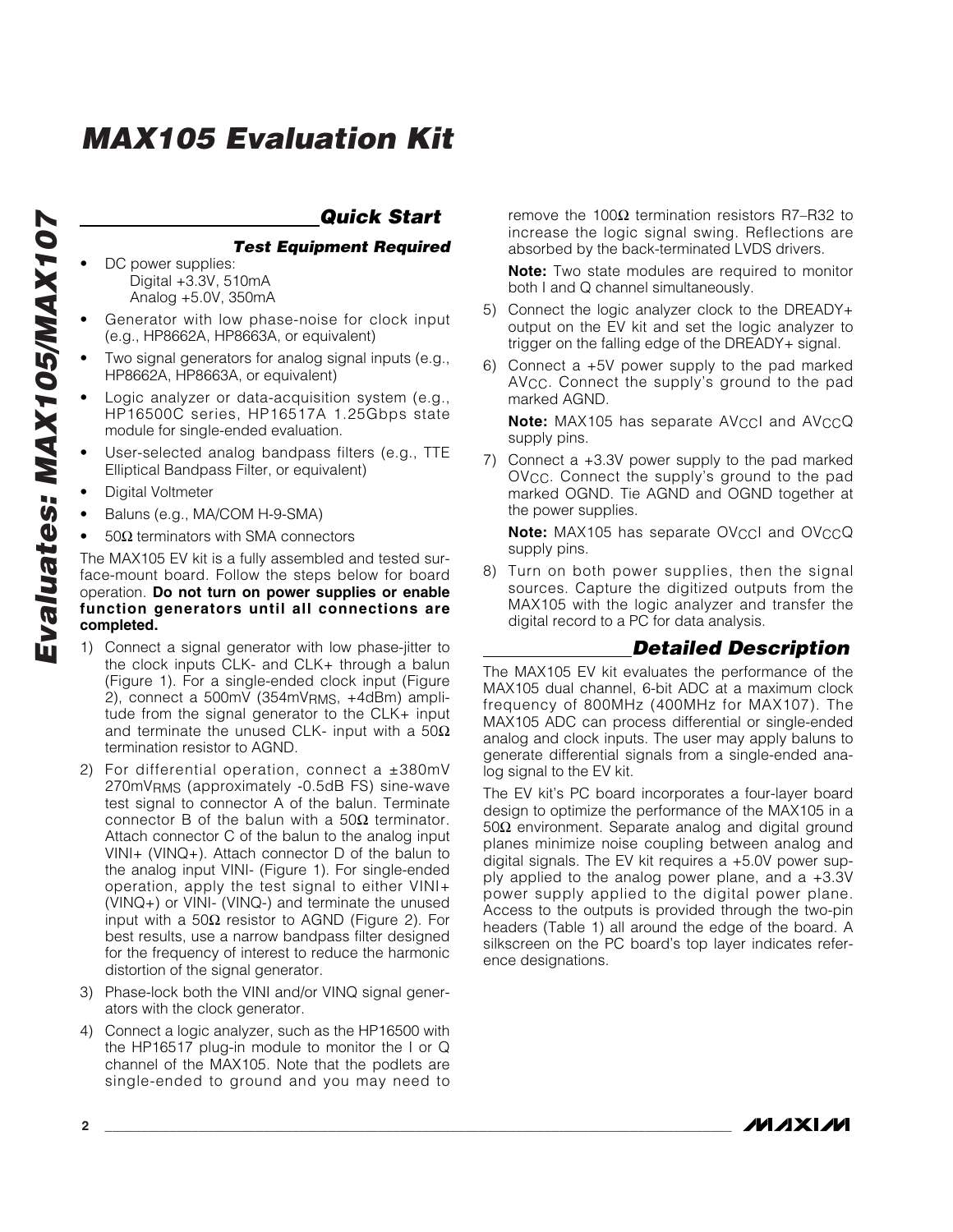### *Quick Start*

#### *Test Equipment Required*

- DC power supplies: Digital +3.3V, 510mA Analog +5.0V, 350mA
- Generator with low phase-noise for clock input (e.g., HP8662A, HP8663A, or equivalent)
- Two signal generators for analog signal inputs (e.g., HP8662A, HP8663A, or equivalent)
- Logic analyzer or data-acquisition system (e.g., HP16500C series, HP16517A 1.25Gbps state module for single-ended evaluation.
- User-selected analog bandpass filters (e.g., TTE Elliptical Bandpass Filter, or equivalent)
- Digital Voltmeter
- Baluns (e.g., MA/COM H-9-SMA)
- 50 $\Omega$  terminators with SMA connectors

The MAX105 EV kit is a fully assembled and tested surface-mount board. Follow the steps below for board operation. **Do not turn on power supplies or enable function generators until all connections are completed.**

- 1) Connect a signal generator with low phase-jitter to the clock inputs CLK- and CLK+ through a balun (Figure 1). For a single-ended clock input (Figure 2), connect a 500mV (354mV<sub>RMS</sub>, +4dBm) amplitude from the signal generator to the CLK+ input and terminate the unused CLK- input with a 50 $\Omega$ termination resistor to AGND.
- 2) For differential operation, connect a  $\pm 380$ mV 270mVRMS (approximately -0.5dB FS) sine-wave test signal to connector A of the balun. Terminate connector B of the balun with a  $50Ω$  terminator. Attach connector C of the balun to the analog input VINI+ (VINQ+). Attach connector D of the balun to the analog input VINI- (Figure 1). For single-ended operation, apply the test signal to either VINI+ (VINQ+) or VINI- (VINQ-) and terminate the unused input with a 50 $\Omega$  resistor to AGND (Figure 2). For best results, use a narrow bandpass filter designed for the frequency of interest to reduce the harmonic distortion of the signal generator.
- 3) Phase-lock both the VINI and/or VINQ signal generators with the clock generator.
- 4) Connect a logic analyzer, such as the HP16500 with the HP16517 plug-in module to monitor the I or Q channel of the MAX105. Note that the podlets are single-ended to ground and you may need to

remove the 100 $\Omega$  termination resistors R7-R32 to increase the logic signal swing. Reflections are absorbed by the back-terminated LVDS drivers.

**Note:** Two state modules are required to monitor both I and Q channel simultaneously.

- 5) Connect the logic analyzer clock to the DREADY+ output on the EV kit and set the logic analyzer to trigger on the falling edge of the DREADY+ signal.
- 6) Connect a +5V power supply to the pad marked AVCC. Connect the supply's ground to the pad marked AGND.

**Note:** MAX105 has separate AV<sub>CC</sub>I and AV<sub>CC</sub>Q supply pins.

7) Connect a +3.3V power supply to the pad marked OV<sub>CC</sub>. Connect the supply's ground to the pad marked OGND. Tie AGND and OGND together at the power supplies.

**Note:** MAX105 has separate OVCCl and OVCCQ supply pins.

8) Turn on both power supplies, then the signal sources. Capture the digitized outputs from the MAX105 with the logic analyzer and transfer the digital record to a PC for data analysis.

### *Detailed Description*

The MAX105 EV kit evaluates the performance of the MAX105 dual channel, 6-bit ADC at a maximum clock frequency of 800MHz (400MHz for MAX107). The MAX105 ADC can process differential or single-ended analog and clock inputs. The user may apply baluns to generate differential signals from a single-ended analog signal to the EV kit.

The EV kit's PC board incorporates a four-layer board design to optimize the performance of the MAX105 in a 50Ω environment. Separate analog and digital ground planes minimize noise coupling between analog and digital signals. The EV kit requires a +5.0V power supply applied to the analog power plane, and a +3.3V power supply applied to the digital power plane. Access to the outputs is provided through the two-pin headers (Table 1) all around the edge of the board. A silkscreen on the PC board's top layer indicates reference designations.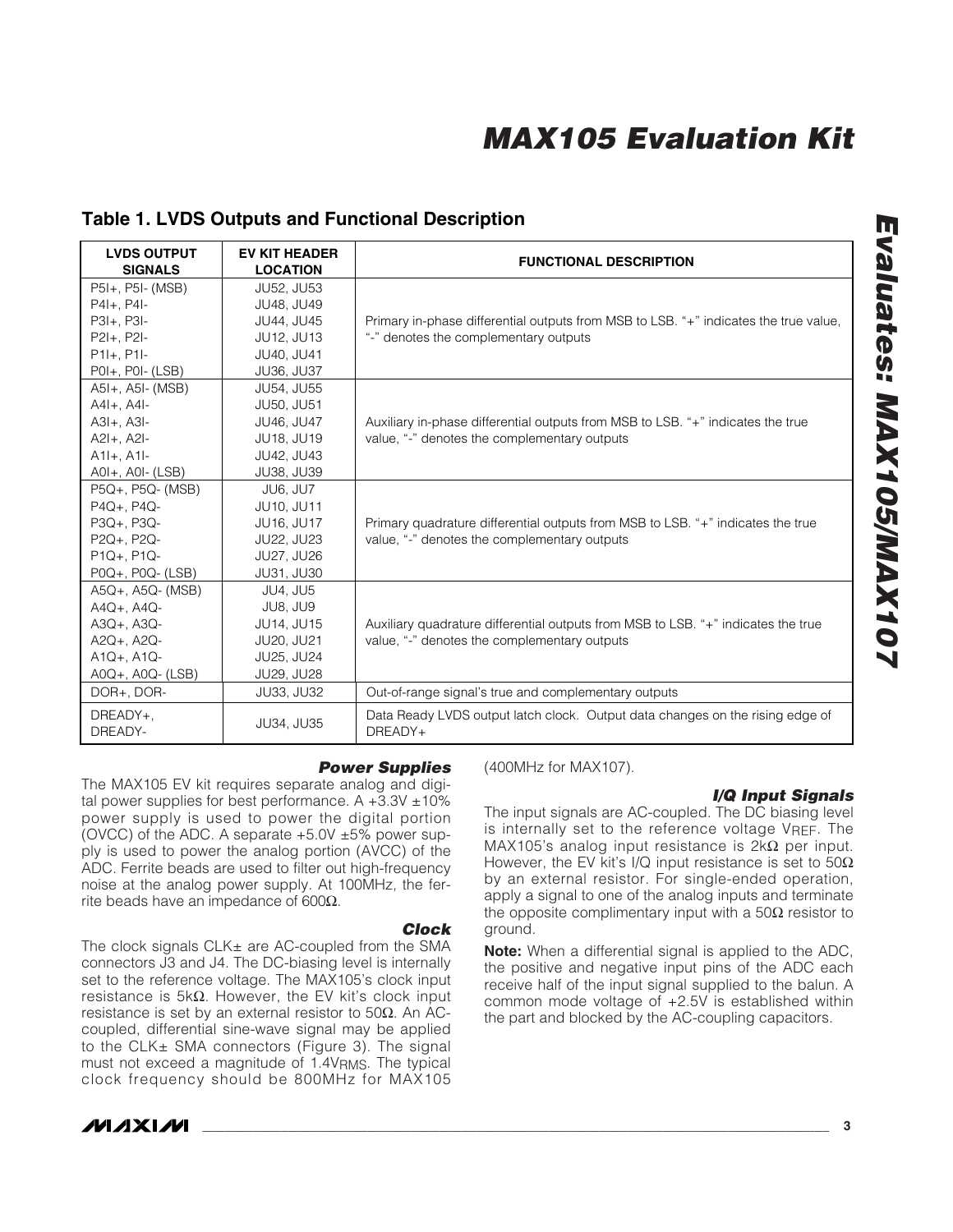### **Table 1. LVDS Outputs and Functional Description**

| <b>LVDS OUTPUT</b><br><b>SIGNALS</b> | <b>EV KIT HEADER</b><br><b>LOCATION</b> | <b>FUNCTIONAL DESCRIPTION</b>                                                            |
|--------------------------------------|-----------------------------------------|------------------------------------------------------------------------------------------|
| P5I+, P5I- (MSB)                     | JU52, JU53                              |                                                                                          |
| $P41 + . P41 -$                      | JU48. JU49                              |                                                                                          |
| $P3I+, P3I-$                         | JU44, JU45                              | Primary in-phase differential outputs from MSB to LSB. "+" indicates the true value,     |
| $P2I+, P2I-$                         | JU12, JU13                              | "-" denotes the complementary outputs                                                    |
| $P11+. P11-$                         | JU40, JU41                              |                                                                                          |
| $POI+, POI-(LSB)$                    | JU36, JU37                              |                                                                                          |
| A5I+, A5I- (MSB)                     | JU54, JU55                              |                                                                                          |
| $A4I+, A4I-$                         | JU50, JU51                              |                                                                                          |
| $A3I+$ , $A3I-$                      | JU46, JU47                              | Auxiliary in-phase differential outputs from MSB to LSB. "+" indicates the true          |
| $A2I+$ , $A2I-$                      | JU18, JU19                              | value, "-" denotes the complementary outputs                                             |
| $A1I+, A1I-$                         | JU42, JU43                              |                                                                                          |
| $AOH$ , $AOH$ (LSB)                  | JU38, JU39                              |                                                                                          |
| P5Q+, P5Q- (MSB)                     | JU6, JU7                                |                                                                                          |
| $P4Q+$ , $P4Q-$                      | JU10, JU11                              |                                                                                          |
| P3Q+, P3Q-                           | JU16, JU17                              | Primary quadrature differential outputs from MSB to LSB. "+" indicates the true          |
| P2Q+, P2Q-                           | JU22, JU23                              | value, "-" denotes the complementary outputs                                             |
| $P1Q+$ , $P1Q-$                      | JU27, JU26                              |                                                                                          |
| $POQ+$ , $POQ-$ (LSB)                | JU31, JU30                              |                                                                                          |
| A5Q+, A5Q- (MSB)                     | <b>JU4, JU5</b>                         |                                                                                          |
| A4Q+, A4Q-                           | JU8, JU9                                |                                                                                          |
| $A3Q+$ , $A3Q-$                      | JU14, JU15                              | Auxiliary quadrature differential outputs from MSB to LSB. "+" indicates the true        |
| A2Q+, A2Q-                           | <b>JU20, JU21</b>                       | value, "-" denotes the complementary outputs                                             |
| $A1Q+$ , $A1Q-$                      | JU25, JU24                              |                                                                                          |
| A0Q+, A0Q- (LSB)                     | JU29, JU28                              |                                                                                          |
| DOR+. DOR-                           | JU33, JU32                              | Out-of-range signal's true and complementary outputs                                     |
| DREADY+,<br>DREADY-                  | JU34, JU35                              | Data Ready LVDS output latch clock. Output data changes on the rising edge of<br>DREADY+ |

#### *Power Supplies*

The MAX105 EV kit requires separate analog and digital power supplies for best performance. A  $+3.3V \pm 10\%$ power supply is used to power the digital portion (OVCC) of the ADC. A separate  $+5.0V \pm 5%$  power supply is used to power the analog portion (AVCC) of the ADC. Ferrite beads are used to filter out high-frequency noise at the analog power supply. At 100MHz, the ferrite beads have an impedance of 600 $Ω$ .

#### *Clock*

The clock signals CLK± are AC-coupled from the SMA connectors J3 and J4. The DC-biasing level is internally set to the reference voltage. The MAX105's clock input resistance is 5kΩ. However, the EV kit's clock input resistance is set by an external resistor to 50 $\Omega$ . An ACcoupled, differential sine-wave signal may be applied to the CLK± SMA connectors (Figure 3). The signal must not exceed a magnitude of 1.4V<sub>RMS</sub>. The typical clock frequency should be 800MHz for MAX105

### MAXIM

(400MHz for MAX107).

#### *I/Q Input Signals*

The input signals are AC-coupled. The DC biasing level is internally set to the reference voltage VREF. The MAX105's analog input resistance is  $2k\Omega$  per input. However, the EV kit's I/Q input resistance is set to  $50\Omega$ by an external resistor. For single-ended operation, apply a signal to one of the analog inputs and terminate the opposite complimentary input with a  $50\Omega$  resistor to ground.

**Note:** When a differential signal is applied to the ADC, the positive and negative input pins of the ADC each receive half of the input signal supplied to the balun. A common mode voltage of +2.5V is established within the part and blocked by the AC-coupling capacitors.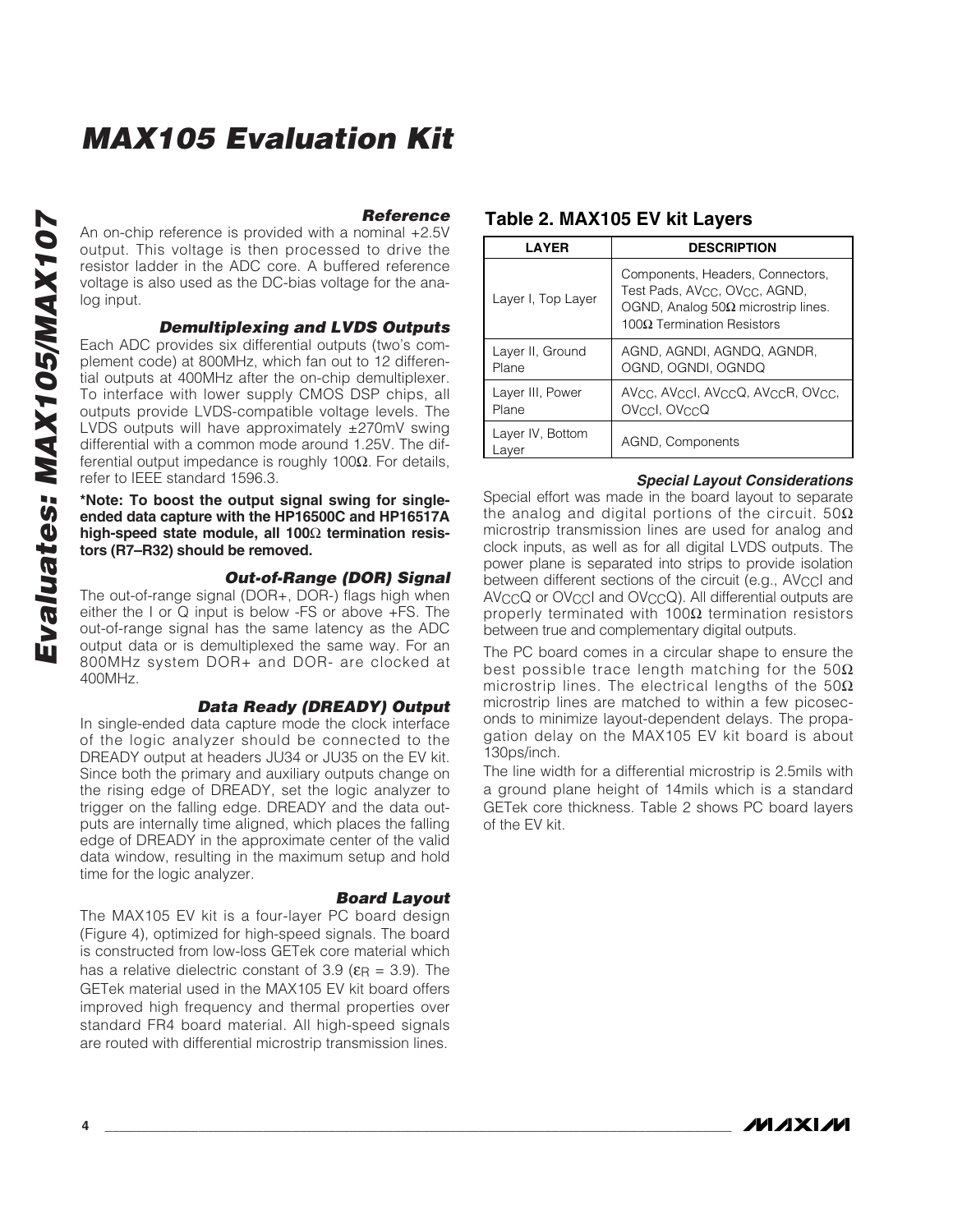*Reference* An on-chip reference is provided with a nominal +2.5V output. This voltage is then processed to drive the resistor ladder in the ADC core. A buffered reference voltage is also used as the DC-bias voltage for the analog input.

*Demultiplexing and LVDS Outputs*

Each ADC provides six differential outputs (two 's complement code) at 800MHz, which fan out to 12 differential outputs at 400MHz after the on-chip demultiplexer. To interface with lower supply CMOS DSP chips, all outputs provide LVDS-compatible voltage levels. The LVDS outputs will have approximately ±270mV swing differential with a common mode around 1.25V. The differential output impedance is roughly 100Ω. For details, refer to IEEE standard 1596.3.

**\*Note: To boost the output signal swing for singleended data capture with the HP16500C and HP16517A high-speed state module, all 100** Ω **termination resistors (R7–R32) should be removed.**

#### *Out-of-Range (DOR) Signal*

The out-of-range signal (DOR+, DOR-) flags high when either the I or Q input is below -FS or above +FS. The out-of-range signal has the same latency as the ADC output data or is demultiplexed the same way. For an 800MHz system DOR+ and DOR- are clocked at 400MHz.

#### *Data Ready (DREADY) Output*

In single-ended data capture mode the clock interface of the logic analyzer should be connected to the DREADY output at headers JU34 or JU35 on the EV kit. Since both the primary and auxiliary outputs change on the rising edge of DREADY, set the logic analyzer to trigger on the falling edge. DREADY and the data outputs are internally time aligned, which places the falling edge of DREADY in the approximate center of the valid data window, resulting in the maximum setup and hold time for the logic analyzer.

#### *Board Layout*

The MAX105 EV kit is a four-layer PC board design (Figure 4), optimized for high-speed signals. The board is constructed from low-loss GETek core material which has a relative dielectric constant of 3.9 ( $\varepsilon_{\mathsf{R}} = 3.9$ ). The GETek material used in the MAX105 EV kit board offers improved high frequency and thermal properties over standard FR4 board material. All high-speed signals are routed with differential microstrip transmission lines.

#### **Table 2. MAX105 EV kit Layers**

| <b>LAYER</b>              | <b>DESCRIPTION</b>                                                                                                                                             |
|---------------------------|----------------------------------------------------------------------------------------------------------------------------------------------------------------|
| Layer I, Top Layer        | Components, Headers, Connectors,<br>Test Pads, AV <sub>CC</sub> , OV <sub>CC</sub> , AGND,<br>OGND, Analog 50Ω microstrip lines.<br>100Ω Termination Resistors |
| Layer II, Ground<br>Plane | AGND, AGNDI, AGNDQ, AGNDR,<br>OGND, OGNDI, OGNDQ                                                                                                               |
| Layer III, Power<br>Plane | AVec. AVecl. AVecQ. AVecR. OVec.<br>OVccl, OVccQ                                                                                                               |
| Layer IV, Bottom<br>.aver | AGND, Components                                                                                                                                               |

#### *Special Layout Considerations*

Special effort was made in the board layout to separate the analog and digital portions of the circuit. 50 $\Omega$ microstrip transmission lines are used for analog and clock inputs, as well as for all digital LVDS outputs. The power plane is separated into strips to provide isolation between different sections of the circuit (e.g., AVCCI and AV<sub>CC</sub>Q or OV<sub>CC</sub>I and OV<sub>CC</sub>Q). All differential outputs are properly terminated with 100 $\Omega$  termination resistors between true and complementary digital outputs.

The PC board comes in a circular shape to ensure the best possible trace length matching for the 50 $\Omega$ microstrip lines. The electrical lengths of the 50 $\Omega$ microstrip lines are matched to within a few picoseconds to minimize layout-dependent delays. The propagation delay on the MAX105 EV kit board is about 130ps/inch.

The line width for a differential microstrip is 2.5mils with a ground plane height of 14mils which is a standard GETek core thickness. Table 2 shows PC board layers of the EV kit.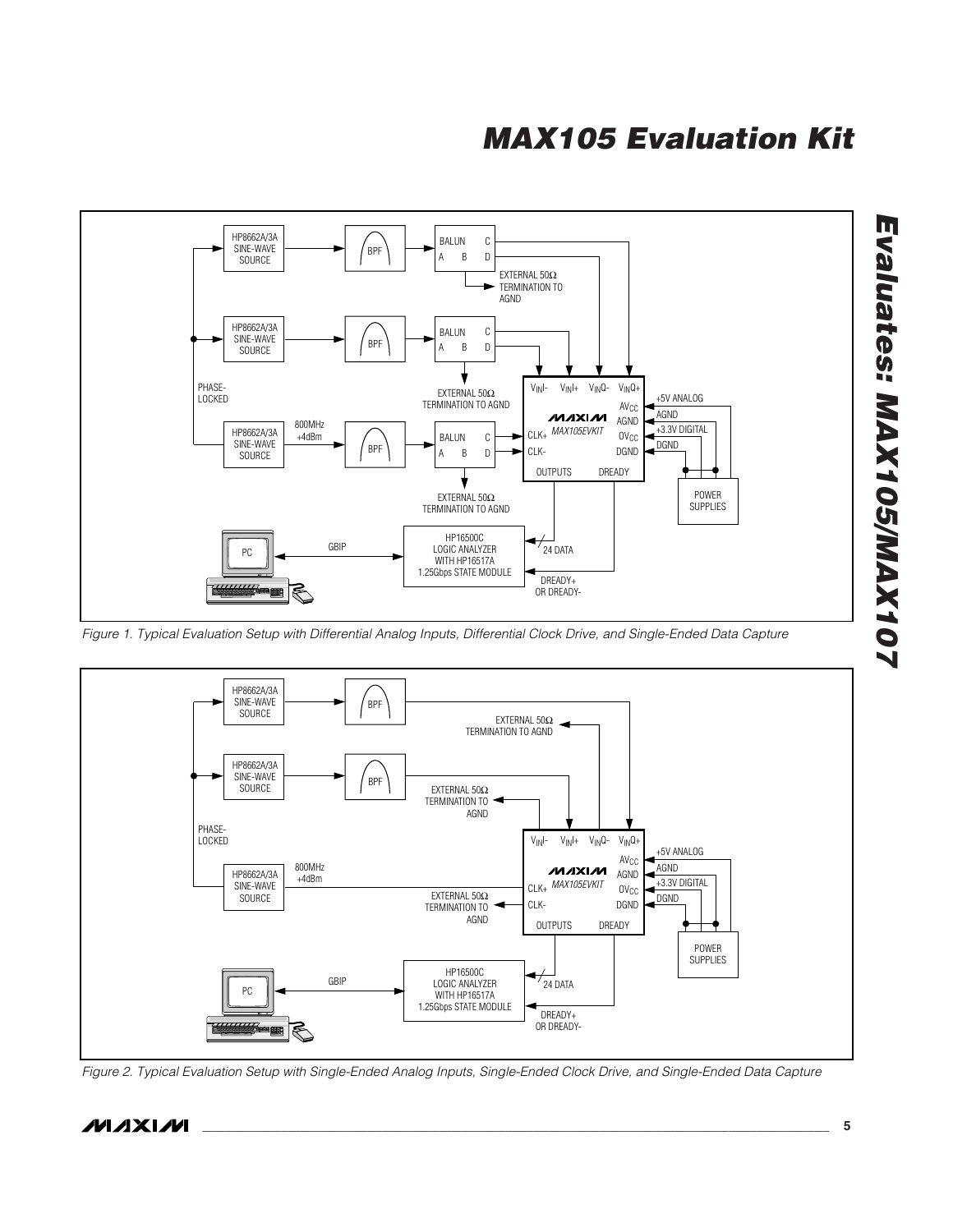

*Figure 1. Typical Evaluation Setup with Differential Analog Inputs, Differential Clock Drive, and Single-Ended Data Capture*



*Figure 2. Typical Evaluation Setup with Single-Ended Analog Inputs, Single-Ended Clock Drive, and Single-Ended Data Capture*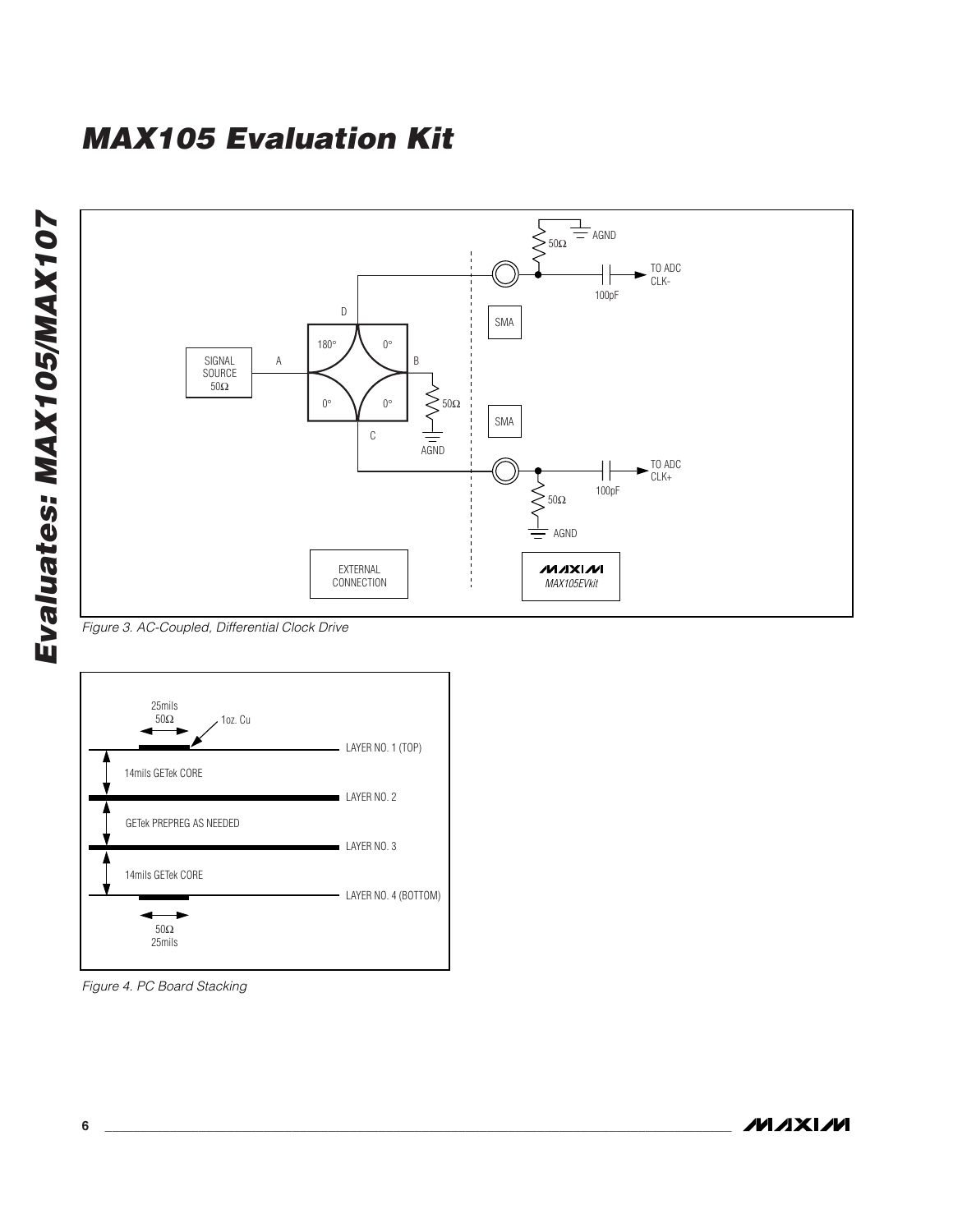



*Figure 3. AC-Coupled, Differential Clock Drive*



*Figure 4. PC Board Stacking*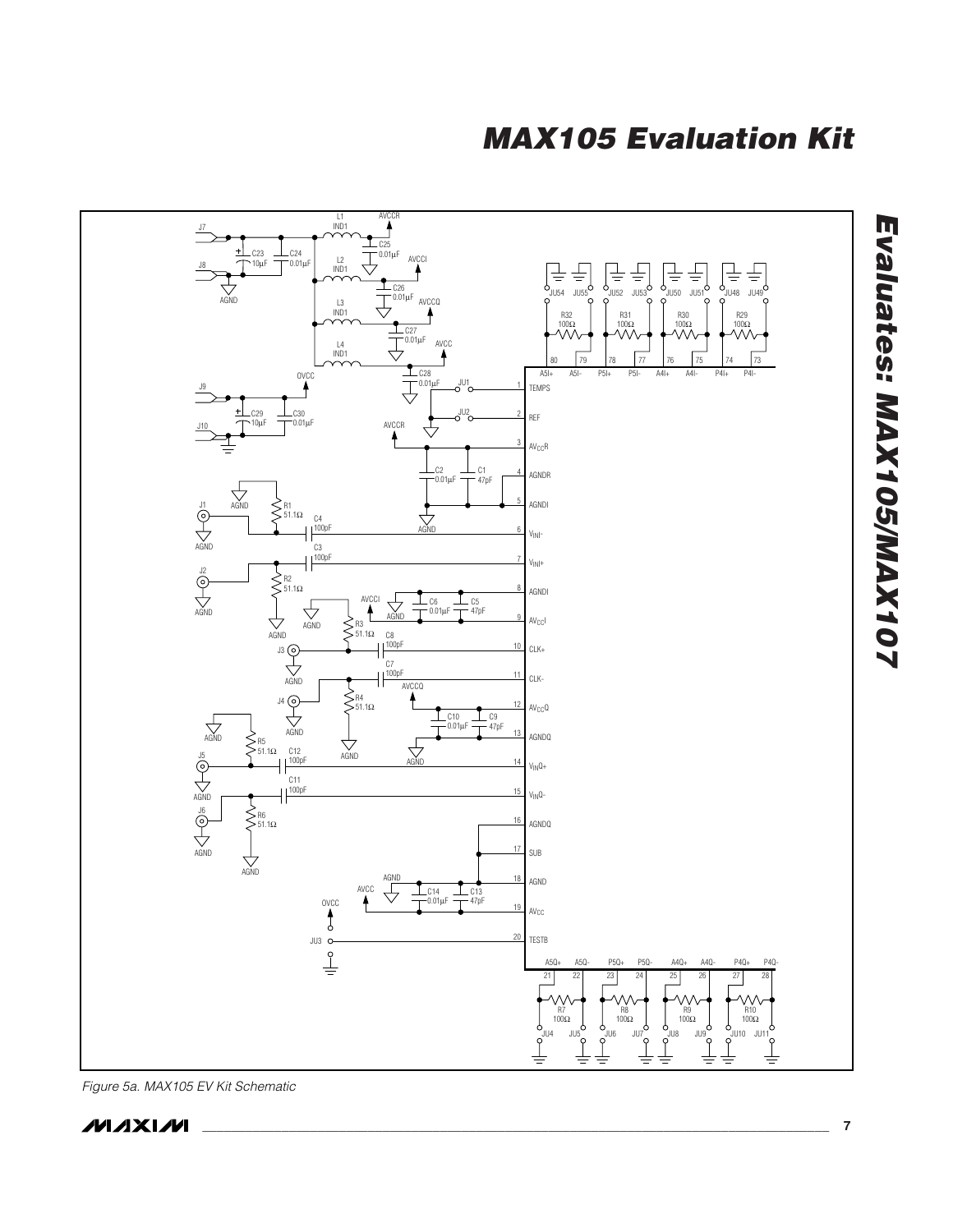



*Figure 5a. MAX105 EV Kit Schematic*



Evaluates: MAX105/MAX107 *Evaluates: MAX105/MAX107*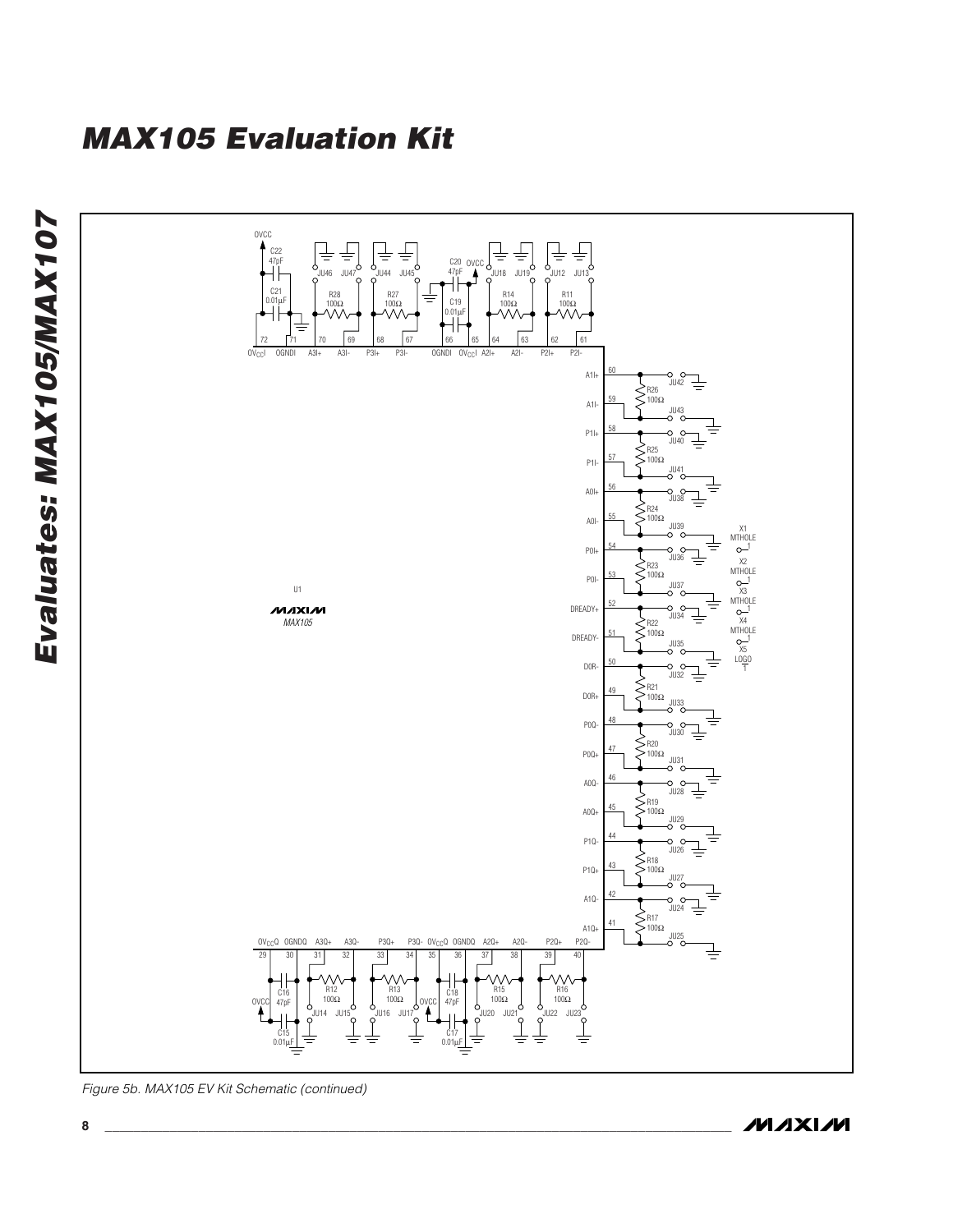

*Figure 5b. MAX105 EV Kit Schematic (continued)*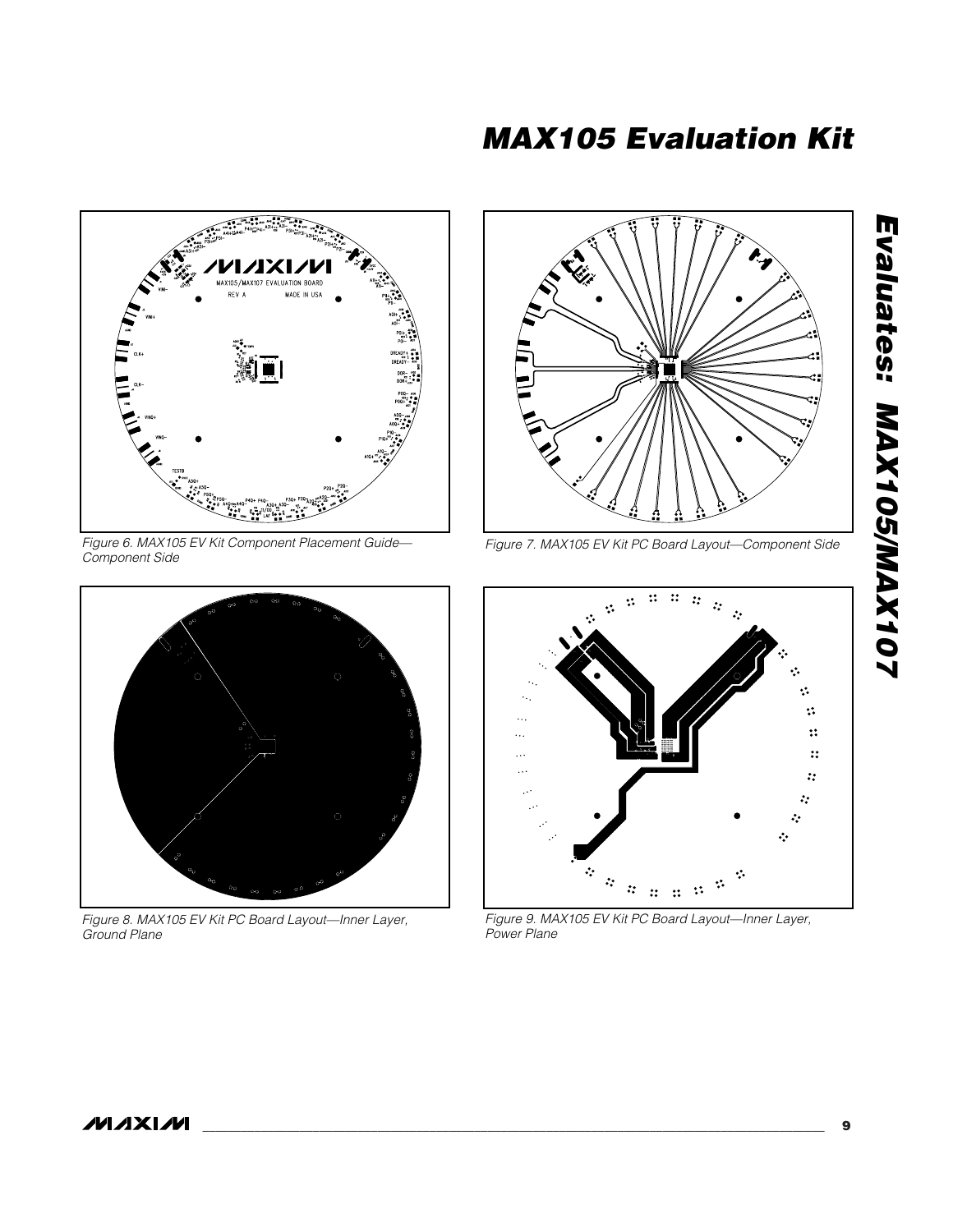

*Figure 6. MAX105 EV Kit Component Placement Guide— Component Side*



*Figure 8. MAX105 EV Kit PC Board Layout—Inner Layer, Ground Plane*



*Figure 7. MAX105 EV Kit PC Board Layout—Component Side*



*Figure 9. MAX105 EV Kit PC Board Layout—Inner Layer, Power Plane*